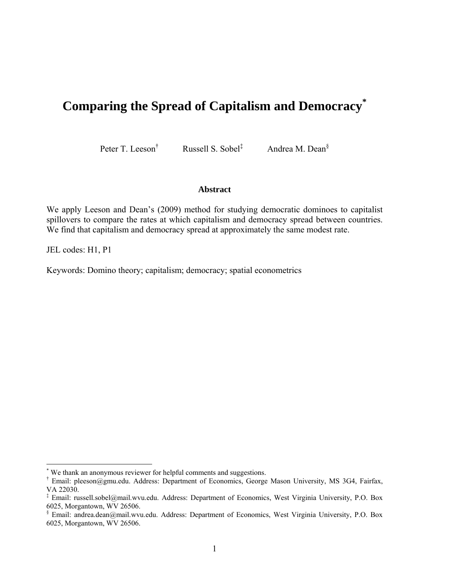# **Comparing the Spread of Capitalism and Democracy\***

Peter T. Leeson†

Russell S. Sobel‡

Andrea M. Dean§

#### **Abstract**

We apply Leeson and Dean's (2009) method for studying democratic dominoes to capitalist spillovers to compare the rates at which capitalism and democracy spread between countries. We find that capitalism and democracy spread at approximately the same modest rate.

JEL codes: H1, P1

Keywords: Domino theory; capitalism; democracy; spatial econometrics

 \* We thank an anonymous reviewer for helpful comments and suggestions.

<sup>†</sup> Email: pleeson@gmu.edu. Address: Department of Economics, George Mason University, MS 3G4, Fairfax, VA 22030.

<sup>‡</sup> Email: russell.sobel@mail.wvu.edu. Address: Department of Economics, West Virginia University, P.O. Box 6025, Morgantown, WV 26506.

<sup>§</sup> Email: andrea.dean@mail.wvu.edu. Address: Department of Economics, West Virginia University, P.O. Box 6025, Morgantown, WV 26506.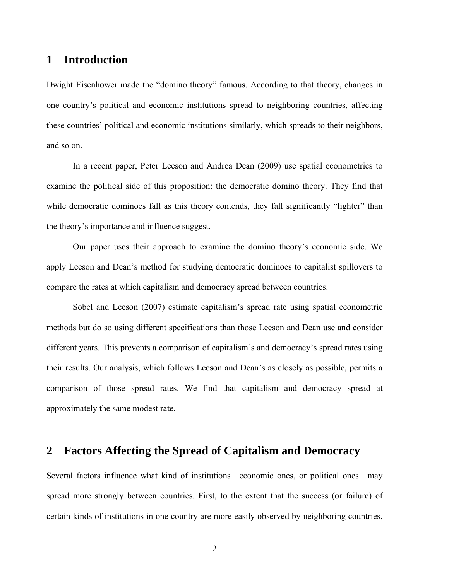## **1 Introduction**

Dwight Eisenhower made the "domino theory" famous. According to that theory, changes in one country's political and economic institutions spread to neighboring countries, affecting these countries' political and economic institutions similarly, which spreads to their neighbors, and so on.

 In a recent paper, Peter Leeson and Andrea Dean (2009) use spatial econometrics to examine the political side of this proposition: the democratic domino theory. They find that while democratic dominoes fall as this theory contends, they fall significantly "lighter" than the theory's importance and influence suggest.

 Our paper uses their approach to examine the domino theory's economic side. We apply Leeson and Dean's method for studying democratic dominoes to capitalist spillovers to compare the rates at which capitalism and democracy spread between countries.

 Sobel and Leeson (2007) estimate capitalism's spread rate using spatial econometric methods but do so using different specifications than those Leeson and Dean use and consider different years. This prevents a comparison of capitalism's and democracy's spread rates using their results. Our analysis, which follows Leeson and Dean's as closely as possible, permits a comparison of those spread rates. We find that capitalism and democracy spread at approximately the same modest rate.

### **2 Factors Affecting the Spread of Capitalism and Democracy**

Several factors influence what kind of institutions—economic ones, or political ones—may spread more strongly between countries. First, to the extent that the success (or failure) of certain kinds of institutions in one country are more easily observed by neighboring countries,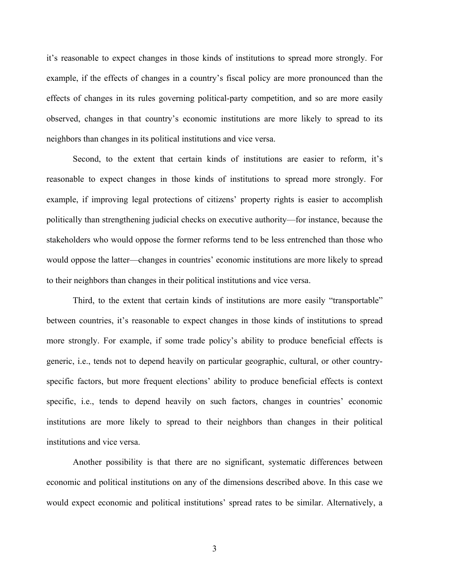it's reasonable to expect changes in those kinds of institutions to spread more strongly. For example, if the effects of changes in a country's fiscal policy are more pronounced than the effects of changes in its rules governing political-party competition, and so are more easily observed, changes in that country's economic institutions are more likely to spread to its neighbors than changes in its political institutions and vice versa.

 Second, to the extent that certain kinds of institutions are easier to reform, it's reasonable to expect changes in those kinds of institutions to spread more strongly. For example, if improving legal protections of citizens' property rights is easier to accomplish politically than strengthening judicial checks on executive authority—for instance, because the stakeholders who would oppose the former reforms tend to be less entrenched than those who would oppose the latter—changes in countries' economic institutions are more likely to spread to their neighbors than changes in their political institutions and vice versa.

 Third, to the extent that certain kinds of institutions are more easily "transportable" between countries, it's reasonable to expect changes in those kinds of institutions to spread more strongly. For example, if some trade policy's ability to produce beneficial effects is generic, i.e., tends not to depend heavily on particular geographic, cultural, or other countryspecific factors, but more frequent elections' ability to produce beneficial effects is context specific, i.e., tends to depend heavily on such factors, changes in countries' economic institutions are more likely to spread to their neighbors than changes in their political institutions and vice versa.

 Another possibility is that there are no significant, systematic differences between economic and political institutions on any of the dimensions described above. In this case we would expect economic and political institutions' spread rates to be similar. Alternatively, a

3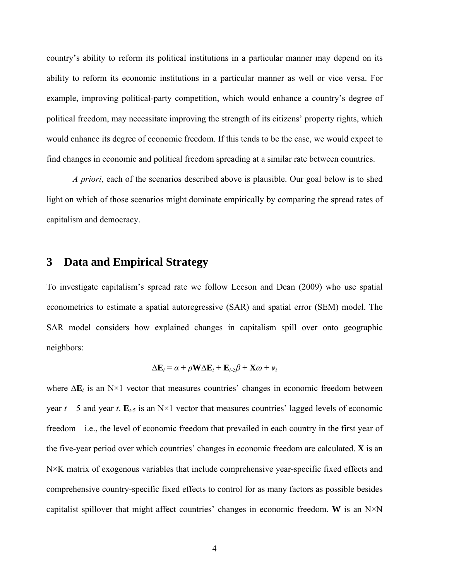country's ability to reform its political institutions in a particular manner may depend on its ability to reform its economic institutions in a particular manner as well or vice versa. For example, improving political-party competition, which would enhance a country's degree of political freedom, may necessitate improving the strength of its citizens' property rights, which would enhance its degree of economic freedom. If this tends to be the case, we would expect to find changes in economic and political freedom spreading at a similar rate between countries.

*A priori*, each of the scenarios described above is plausible. Our goal below is to shed light on which of those scenarios might dominate empirically by comparing the spread rates of capitalism and democracy.

#### **3 Data and Empirical Strategy**

To investigate capitalism's spread rate we follow Leeson and Dean (2009) who use spatial econometrics to estimate a spatial autoregressive (SAR) and spatial error (SEM) model. The SAR model considers how explained changes in capitalism spill over onto geographic neighbors:

$$
\Delta \mathbf{E}_t = \alpha + \rho \mathbf{W} \Delta \mathbf{E}_t + \mathbf{E}_{t-5} \beta + \mathbf{X} \omega + \mathbf{v}_t
$$

where ∆**E***t* is an N×1 vector that measures countries' changes in economic freedom between year  $t - 5$  and year  $t$ .  $\mathbf{E}_{t-5}$  is an N×1 vector that measures countries' lagged levels of economic freedom—i.e., the level of economic freedom that prevailed in each country in the first year of the five-year period over which countries' changes in economic freedom are calculated. **X** is an N×K matrix of exogenous variables that include comprehensive year-specific fixed effects and comprehensive country-specific fixed effects to control for as many factors as possible besides capitalist spillover that might affect countries' changes in economic freedom. **W** is an N×N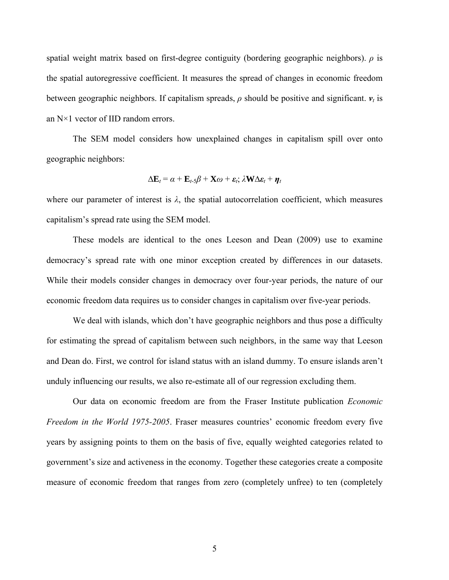spatial weight matrix based on first-degree contiguity (bordering geographic neighbors). *ρ* is the spatial autoregressive coefficient. It measures the spread of changes in economic freedom between geographic neighbors. If capitalism spreads,  $\rho$  should be positive and significant.  $v_t$  is an N×1 vector of IID random errors.

The SEM model considers how unexplained changes in capitalism spill over onto geographic neighbors:

$$
\Delta \mathbf{E}_t = \alpha + \mathbf{E}_{t-5} \beta + \mathbf{X} \omega + \varepsilon_t \dot{X} \mathbf{W} \Delta \varepsilon_t + \boldsymbol{\eta}_t
$$

where our parameter of interest is  $\lambda$ , the spatial autocorrelation coefficient, which measures capitalism's spread rate using the SEM model.

These models are identical to the ones Leeson and Dean (2009) use to examine democracy's spread rate with one minor exception created by differences in our datasets. While their models consider changes in democracy over four-year periods, the nature of our economic freedom data requires us to consider changes in capitalism over five-year periods.

We deal with islands, which don't have geographic neighbors and thus pose a difficulty for estimating the spread of capitalism between such neighbors, in the same way that Leeson and Dean do. First, we control for island status with an island dummy. To ensure islands aren't unduly influencing our results, we also re-estimate all of our regression excluding them.

 Our data on economic freedom are from the Fraser Institute publication *Economic Freedom in the World 1975-2005*. Fraser measures countries' economic freedom every five years by assigning points to them on the basis of five, equally weighted categories related to government's size and activeness in the economy. Together these categories create a composite measure of economic freedom that ranges from zero (completely unfree) to ten (completely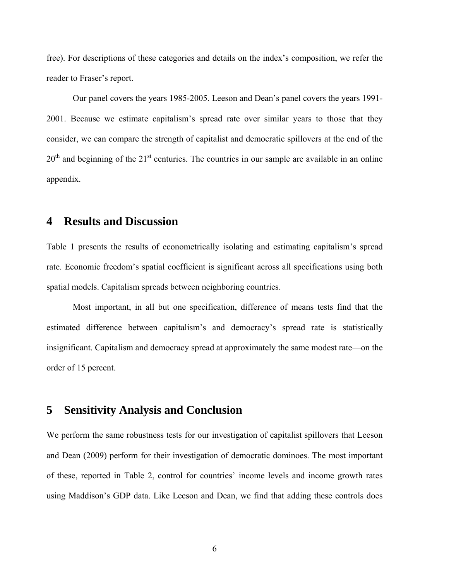free). For descriptions of these categories and details on the index's composition, we refer the reader to Fraser's report.

 Our panel covers the years 1985-2005. Leeson and Dean's panel covers the years 1991- 2001. Because we estimate capitalism's spread rate over similar years to those that they consider, we can compare the strength of capitalist and democratic spillovers at the end of the  $20<sup>th</sup>$  and beginning of the  $21<sup>st</sup>$  centuries. The countries in our sample are available in an online appendix.

#### **4 Results and Discussion**

Table 1 presents the results of econometrically isolating and estimating capitalism's spread rate. Economic freedom's spatial coefficient is significant across all specifications using both spatial models. Capitalism spreads between neighboring countries.

 Most important, in all but one specification, difference of means tests find that the estimated difference between capitalism's and democracy's spread rate is statistically insignificant. Capitalism and democracy spread at approximately the same modest rate—on the order of 15 percent.

## **5 Sensitivity Analysis and Conclusion**

We perform the same robustness tests for our investigation of capitalist spillovers that Leeson and Dean (2009) perform for their investigation of democratic dominoes. The most important of these, reported in Table 2, control for countries' income levels and income growth rates using Maddison's GDP data. Like Leeson and Dean, we find that adding these controls does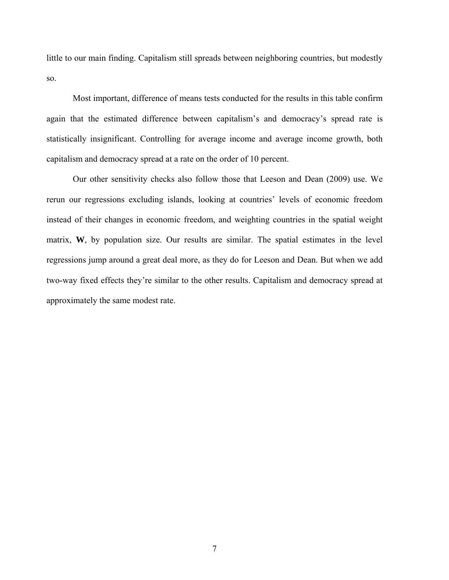little to our main finding. Capitalism still spreads between neighboring countries, but modestly so.

Most important, difference of means tests conducted for the results in this table confirm again that the estimated difference between capitalism's and democracy's spread rate is statistically insignificant. Controlling for average income and average income growth, both capitalism and democracy spread at a rate on the order of 10 percent.

 Our other sensitivity checks also follow those that Leeson and Dean (2009) use. We rerun our regressions excluding islands, looking at countries' levels of economic freedom instead of their changes in economic freedom, and weighting countries in the spatial weight matrix, **W**, by population size. Our results are similar. The spatial estimates in the level regressions jump around a great deal more, as they do for Leeson and Dean. But when we add two-way fixed effects they're similar to the other results. Capitalism and democracy spread at approximately the same modest rate.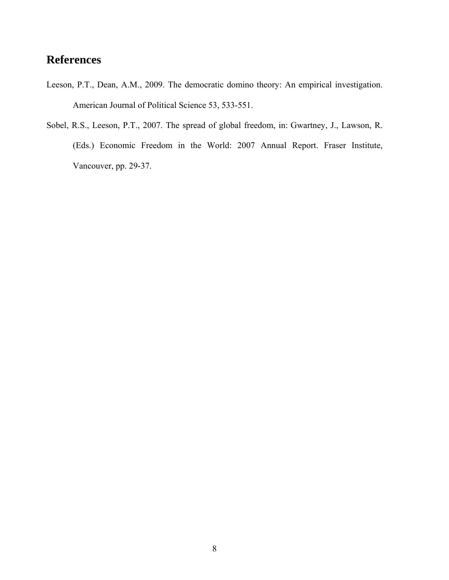## **References**

- Leeson, P.T., Dean, A.M., 2009. The democratic domino theory: An empirical investigation. American Journal of Political Science 53, 533-551.
- Sobel, R.S., Leeson, P.T., 2007. The spread of global freedom, in: Gwartney, J., Lawson, R. (Eds.) Economic Freedom in the World: 2007 Annual Report. Fraser Institute, Vancouver, pp. 29-37.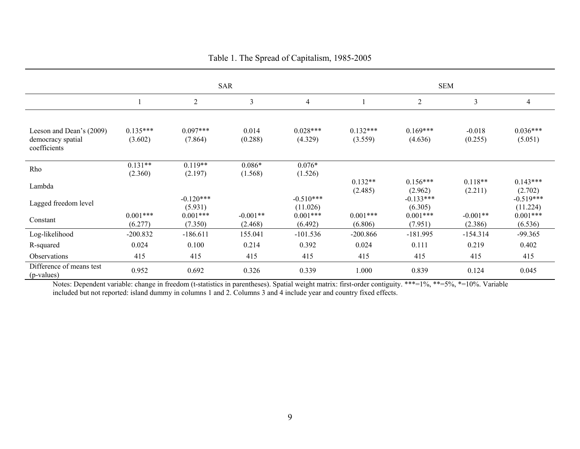|                                                               | <b>SAR</b>            |                        |                       |                         | <b>SEM</b>            |                        |                       |                         |  |
|---------------------------------------------------------------|-----------------------|------------------------|-----------------------|-------------------------|-----------------------|------------------------|-----------------------|-------------------------|--|
|                                                               |                       | $\overline{2}$         | 3                     | $\overline{4}$          |                       | 2                      | $\mathfrak{Z}$        | 4                       |  |
|                                                               |                       |                        |                       |                         |                       |                        |                       |                         |  |
| Leeson and Dean's (2009)<br>democracy spatial<br>coefficients | $0.135***$<br>(3.602) | $0.097***$<br>(7.864)  | 0.014<br>(0.288)      | $0.028***$<br>(4.329)   | $0.132***$<br>(3.559) | $0.169***$<br>(4.636)  | $-0.018$<br>(0.255)   | $0.036***$<br>(5.051)   |  |
| Rho                                                           | $0.131**$<br>(2.360)  | $0.119**$<br>(2.197)   | $0.086*$<br>(1.568)   | $0.076*$<br>(1.526)     |                       |                        |                       |                         |  |
| Lambda                                                        |                       |                        |                       |                         | $0.132**$<br>(2.485)  | $0.156***$<br>(2.962)  | $0.118**$<br>(2.211)  | $0.143***$<br>(2.702)   |  |
| Lagged freedom level                                          |                       | $-0.120***$<br>(5.931) |                       | $-0.510***$<br>(11.026) |                       | $-0.133***$<br>(6.305) |                       | $-0.519***$<br>(11.224) |  |
| Constant                                                      | $0.001***$<br>(6.277) | $0.001***$<br>(7.350)  | $-0.001**$<br>(2.468) | $0.001***$<br>(6.492)   | $0.001***$<br>(6.806) | $0.001***$<br>(7.951)  | $-0.001**$<br>(2.386) | $0.001***$<br>(6.536)   |  |
| Log-likelihood                                                | $-200.832$            | $-186.611$             | 155.041               | $-101.536$              | $-200.866$            | $-181.995$             | $-154.314$            | $-99.365$               |  |
| R-squared                                                     | 0.024                 | 0.100                  | 0.214                 | 0.392                   | 0.024                 | 0.111                  | 0.219                 | 0.402                   |  |
| Observations                                                  | 415                   | 415                    | 415                   | 415                     | 415                   | 415                    | 415                   | 415                     |  |
| Difference of means test<br>(p-values)                        | 0.952                 | 0.692                  | 0.326                 | 0.339                   | 1.000                 | 0.839                  | 0.124                 | 0.045                   |  |

Table 1. The Spread of Capitalism, 1985-2005

Notes: Dependent variable: change in freedom (t-statistics in parentheses). Spatial weight matrix: first-order contiguity. \*\*\*=1%, \*\*=5%, \*=10%. Variable included but not reported: island dummy in columns 1 and 2. Columns 3 and 4 include year and country fixed effects.